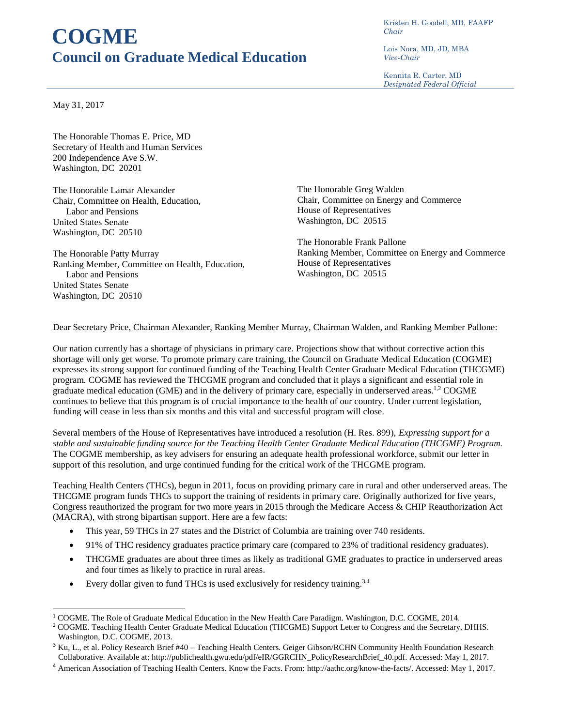## **COGME Council on Graduate Medical Education**

Kristen H. Goodell, MD, FAAFP *Chair*

Lois Nora, MD, JD, MBA *Vice-Chair*

Kennita R. Carter, MD *Designated Federal Official*

May 31, 2017

 $\overline{a}$ 

The Honorable Thomas E. Price, MD Secretary of Health and Human Services 200 Independence Ave S.W. Washington, DC 20201

The Honorable Lamar Alexander Chair, Committee on Health, Education, Labor and Pensions United States Senate Washington, DC 20510

The Honorable Patty Murray Ranking Member, Committee on Health, Education, Labor and Pensions United States Senate Washington, DC 20510

The Honorable Greg Walden Chair, Committee on Energy and Commerce House of Representatives Washington, DC 20515

The Honorable Frank Pallone Ranking Member, Committee on Energy and Commerce House of Representatives Washington, DC 20515

Dear Secretary Price, Chairman Alexander, Ranking Member Murray, Chairman Walden, and Ranking Member Pallone:

Our nation currently has a shortage of physicians in primary care. Projections show that without corrective action this shortage will only get worse. To promote primary care training, the Council on Graduate Medical Education (COGME) expresses its strong support for continued funding of the Teaching Health Center Graduate Medical Education (THCGME) program. COGME has reviewed the THCGME program and concluded that it plays a significant and essential role in graduate medical education (GME) and in the delivery of primary care, especially in underserved areas.<sup>1,2</sup> COGME continues to believe that this program is of crucial importance to the health of our country. Under current legislation, funding will cease in less than six months and this vital and successful program will close.

Several members of the House of Representatives have introduced a resolution (H. Res. 899), *Expressing support for a stable and sustainable funding source for the Teaching Health Center Graduate Medical Education (THCGME) Program.* The COGME membership, as key advisers for ensuring an adequate health professional workforce, submit our letter in support of this resolution, and urge continued funding for the critical work of the THCGME program.

Teaching Health Centers (THCs), begun in 2011, focus on providing primary care in rural and other underserved areas. The THCGME program funds THCs to support the training of residents in primary care. Originally authorized for five years, Congress reauthorized the program for two more years in 2015 through the Medicare Access & CHIP Reauthorization Act (MACRA), with strong bipartisan support. Here are a few facts:

- This year, 59 THCs in 27 states and the District of Columbia are training over 740 residents.
- 91% of THC residency graduates practice primary care (compared to 23% of traditional residency graduates).
- THCGME graduates are about three times as likely as traditional GME graduates to practice in underserved areas and four times as likely to practice in rural areas.
- Every dollar given to fund THCs is used exclusively for residency training.<sup>3,4</sup>

<sup>1</sup> COGME. The Role of Graduate Medical Education in the New Health Care Paradigm. Washington, D.C. COGME, 2014.

<sup>2</sup> COGME. Teaching Health Center Graduate Medical Education (THCGME) Support Letter to Congress and the Secretary, DHHS. Washington, D.C. COGME, 2013.

<sup>&</sup>lt;sup>3</sup> Ku, L., et al. Policy Research Brief #40 – Teaching Health Centers. Geiger Gibson/RCHN Community Health Foundation Research Collaborative. Available at: http://publichealth.gwu.edu/pdf/eIR/GGRCHN\_PolicyResearchBrief\_40.pdf. Accessed: May 1, 2017.

<sup>4</sup> American Association of Teaching Health Centers. Know the Facts. From: http://aathc.org/know-the-facts/. Accessed: May 1, 2017.